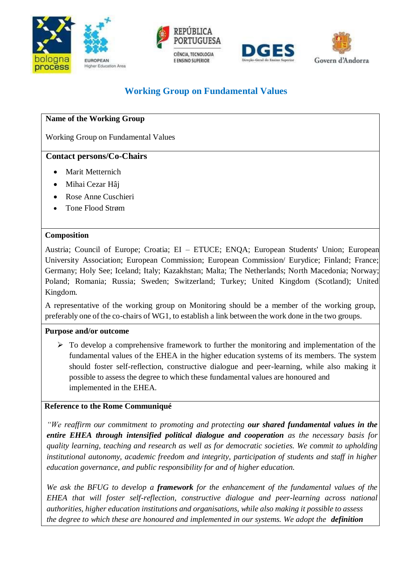







# **Working Group on Fundamental Values**

## **Name of the Working Group**

Working Group on Fundamental Values

#### **Contact persons/Co-Chairs**

- Marit Metternich
- Mihai Cezar Hâj
- Rose Anne Cuschieri
- Tone Flood Strøm

#### **Composition**

Austria; Council of Europe; Croatia; EI – ETUCE; ENQA; European Students' Union; European University Association; European Commission; European Commission/ Eurydice; Finland; France; Germany; Holy See; Iceland; Italy; Kazakhstan; Malta; The Netherlands; North Macedonia; Norway; Poland; Romania; Russia; Sweden; Switzerland; Turkey; United Kingdom (Scotland); United Kingdom.

A representative of the working group on Monitoring should be a member of the working group, preferably one of the co-chairs of WG1, to establish a link between the work done in the two groups.

## **Purpose and/or outcome**

 $\triangleright$  To develop a comprehensive framework to further the monitoring and implementation of the fundamental values of the EHEA in the higher education systems of its members. The system should foster self-reflection, constructive dialogue and peer-learning, while also making it possible to assess the degree to which these fundamental values are honoured and implemented in the EHEA.

## **Reference to the Rome Communiqué**

*"We reaffirm our commitment to promoting and protecting our shared fundamental values in the entire EHEA through intensified political dialogue and cooperation as the necessary basis for quality learning, teaching and research as well as for democratic societies. We commit to upholding institutional autonomy, academic freedom and integrity, participation of students and staff in higher education governance, and public responsibility for and of higher education.*

*We ask the BFUG to develop a framework for the enhancement of the fundamental values of the EHEA that will foster self-reflection, constructive dialogue and peer-learning across national authorities, higher education institutions and organisations, while also making it possible to assess the degree to which these are honoured and implemented in our systems. We adopt the definition*